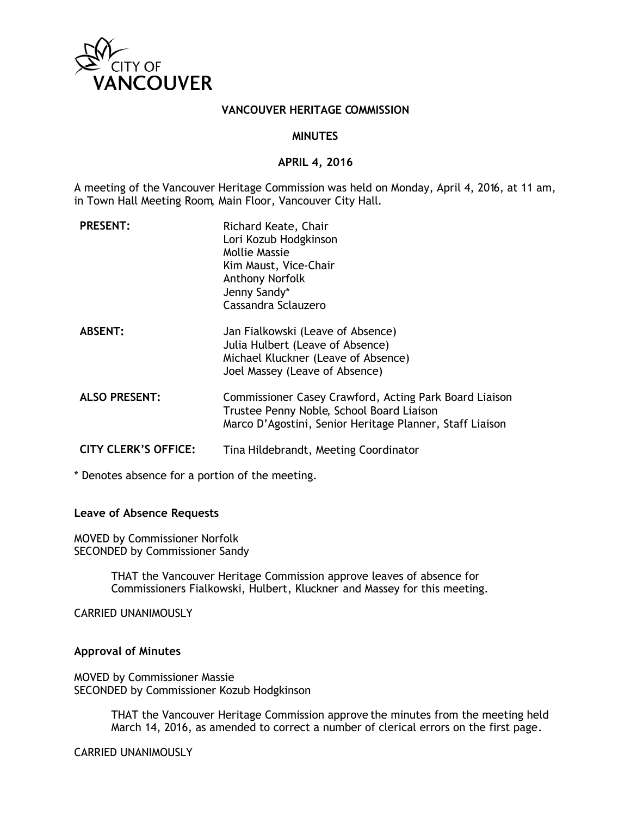

## **VANCOUVER HERITAGE COMMISSION**

#### **MINUTES**

#### **APRIL 4, 2016**

A meeting of the Vancouver Heritage Commission was held on Monday, April 4, 2016, at 11 am, in Town Hall Meeting Room, Main Floor, Vancouver City Hall.

| <b>PRESENT:</b>             | Richard Keate, Chair<br>Lori Kozub Hodgkinson<br>Mollie Massie<br>Kim Maust, Vice-Chair<br><b>Anthony Norfolk</b><br>Jenny Sandy*<br>Cassandra Sclauzero        |
|-----------------------------|-----------------------------------------------------------------------------------------------------------------------------------------------------------------|
| <b>ABSENT:</b>              | Jan Fialkowski (Leave of Absence)<br>Julia Hulbert (Leave of Absence)<br>Michael Kluckner (Leave of Absence)<br>Joel Massey (Leave of Absence)                  |
| <b>ALSO PRESENT:</b>        | Commissioner Casey Crawford, Acting Park Board Liaison<br>Trustee Penny Noble, School Board Liaison<br>Marco D'Agostini, Senior Heritage Planner, Staff Liaison |
| <b>CITY CLERK'S OFFICE:</b> | Tina Hildebrandt, Meeting Coordinator                                                                                                                           |

\* Denotes absence for a portion of the meeting.

## **Leave of Absence Requests**

MOVED by Commissioner Norfolk SECONDED by Commissioner Sandy

> THAT the Vancouver Heritage Commission approve leaves of absence for Commissioners Fialkowski, Hulbert, Kluckner and Massey for this meeting.

CARRIED UNANIMOUSLY

#### **Approval of Minutes**

MOVED by Commissioner Massie SECONDED by Commissioner Kozub Hodgkinson

> THAT the Vancouver Heritage Commission approve the minutes from the meeting held March 14, 2016, as amended to correct a number of clerical errors on the first page.

CARRIED UNANIMOUSLY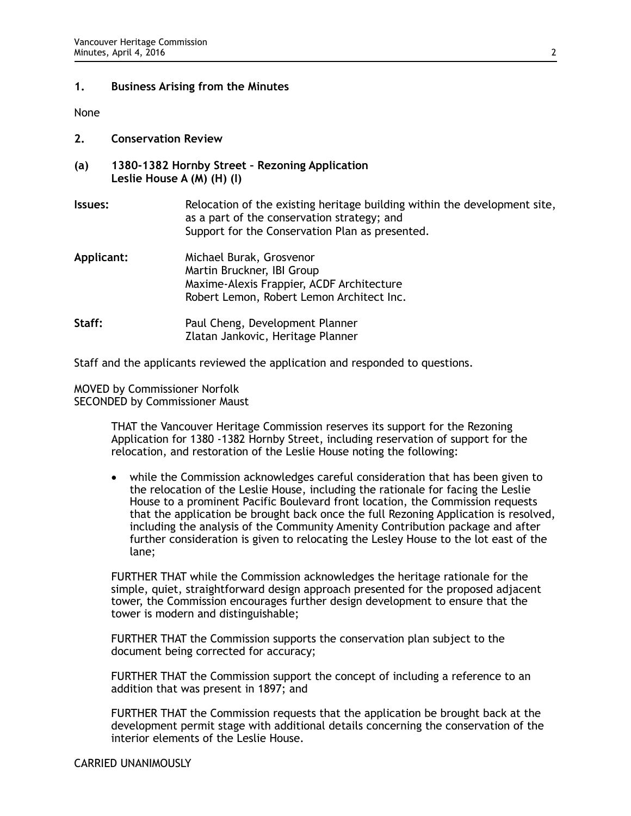## **1. Business Arising from the Minutes**

None

- **2. Conservation Review**
- **(a) 1380-1382 Hornby Street Rezoning Application Leslie House A (M) (H) (I)**
- **Issues:** Relocation of the existing heritage building within the development site, as a part of the conservation strategy; and Support for the Conservation Plan as presented.
- **Applicant:** Michael Burak, Grosvenor Martin Bruckner, IBI Group Maxime-Alexis Frappier, ACDF Architecture Robert Lemon, Robert Lemon Architect Inc. **Staff:** Paul Cheng, Development Planner Zlatan Jankovic, Heritage Planner

Staff and the applicants reviewed the application and responded to questions.

MOVED by Commissioner Norfolk SECONDED by Commissioner Maust

> THAT the Vancouver Heritage Commission reserves its support for the Rezoning Application for 1380 -1382 Hornby Street, including reservation of support for the relocation, and restoration of the Leslie House noting the following:

• while the Commission acknowledges careful consideration that has been given to the relocation of the Leslie House, including the rationale for facing the Leslie House to a prominent Pacific Boulevard front location, the Commission requests that the application be brought back once the full Rezoning Application is resolved, including the analysis of the Community Amenity Contribution package and after further consideration is given to relocating the Lesley House to the lot east of the lane;

FURTHER THAT while the Commission acknowledges the heritage rationale for the simple, quiet, straightforward design approach presented for the proposed adjacent tower, the Commission encourages further design development to ensure that the tower is modern and distinguishable;

FURTHER THAT the Commission supports the conservation plan subject to the document being corrected for accuracy;

FURTHER THAT the Commission support the concept of including a reference to an addition that was present in 1897; and

FURTHER THAT the Commission requests that the application be brought back at the development permit stage with additional details concerning the conservation of the interior elements of the Leslie House.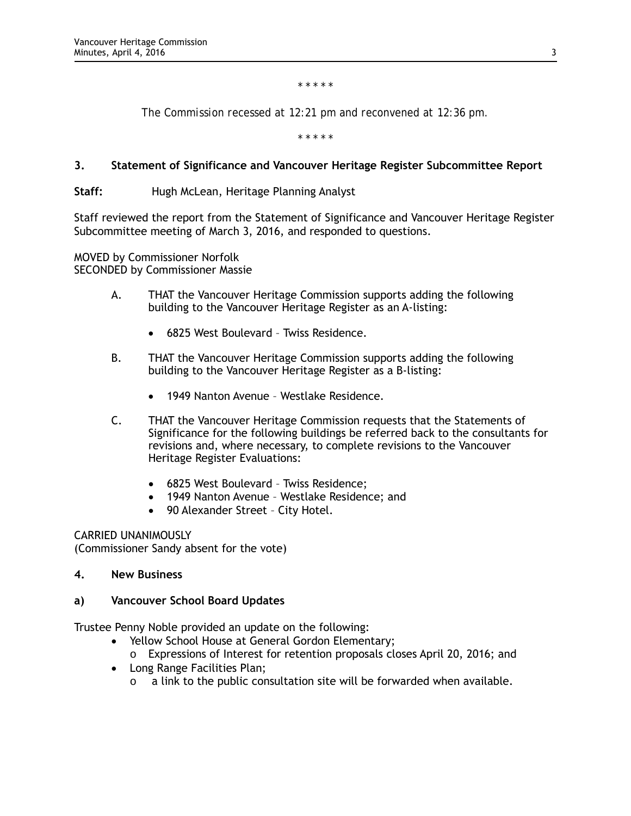*\* \* \* \* \**

*The Commission recessed at 12:21 pm and reconvened at 12:36 pm.*

*\* \* \* \* \**

## **3. Statement of Significance and Vancouver Heritage Register Subcommittee Report**

**Staff:** Hugh McLean, Heritage Planning Analyst

Staff reviewed the report from the Statement of Significance and Vancouver Heritage Register Subcommittee meeting of March 3, 2016, and responded to questions.

MOVED by Commissioner Norfolk SECONDED by Commissioner Massie

- A. THAT the Vancouver Heritage Commission supports adding the following building to the Vancouver Heritage Register as an A-listing:
	- 6825 West Boulevard Twiss Residence.
- B. THAT the Vancouver Heritage Commission supports adding the following building to the Vancouver Heritage Register as a B-listing:
	- 1949 Nanton Avenue Westlake Residence.
- C. THAT the Vancouver Heritage Commission requests that the Statements of Significance for the following buildings be referred back to the consultants for revisions and, where necessary, to complete revisions to the Vancouver Heritage Register Evaluations:
	- 6825 West Boulevard Twiss Residence;
	- 1949 Nanton Avenue Westlake Residence; and
	- 90 Alexander Street City Hotel.

CARRIED UNANIMOUSLY

(Commissioner Sandy absent for the vote)

**4. New Business**

## **a) Vancouver School Board Updates**

Trustee Penny Noble provided an update on the following:

- Yellow School House at General Gordon Elementary;
	- o Expressions of Interest for retention proposals closes April 20, 2016; and
- Long Range Facilities Plan;
	- o a link to the public consultation site will be forwarded when available.